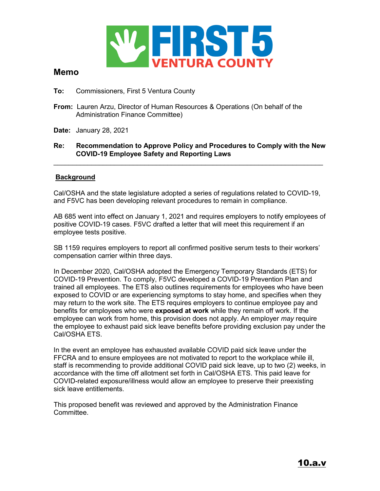

## **Memo**

- **To:** Commissioners, First 5 Ventura County
- **From:** Lauren Arzu, Director of Human Resources & Operations (On behalf of the Administration Finance Committee)
- **Date:** January 28, 2021

## **Re: Recommendation to Approve Policy and Procedures to Comply with the New COVID-19 Employee Safety and Reporting Laws**

 $\_$  , and the set of the set of the set of the set of the set of the set of the set of the set of the set of the set of the set of the set of the set of the set of the set of the set of the set of the set of the set of th

## **Background**

Cal/OSHA and the state legislature adopted a series of regulations related to COVID-19, and F5VC has been developing relevant procedures to remain in compliance.

AB 685 went into effect on January 1, 2021 and requires employers to notify employees of positive COVID-19 cases. F5VC drafted a letter that will meet this requirement if an employee tests positive.

SB 1159 requires employers to report all confirmed positive serum tests to their workers' compensation carrier within three days.

In December 2020, Cal/OSHA adopted the Emergency Temporary Standards (ETS) for COVID-19 Prevention. To comply, F5VC developed a COVID-19 Prevention Plan and trained all employees. The ETS also outlines requirements for employees who have been exposed to COVID or are experiencing symptoms to stay home, and specifies when they may return to the work site. The ETS requires employers to continue employee pay and benefits for employees who were **exposed at work** while they remain off work. If the employee can work from home, this provision does not apply. An employer *may* require the employee to exhaust paid sick leave benefits before providing exclusion pay under the Cal/OSHA ETS.

In the event an employee has exhausted available COVID paid sick leave under the FFCRA and to ensure employees are not motivated to report to the workplace while ill, staff is recommending to provide additional COVID paid sick leave, up to two (2) weeks, in accordance with the time off allotment set forth in Cal/OSHA ETS. This paid leave for COVID-related exposure/illness would allow an employee to preserve their preexisting sick leave entitlements.

This proposed benefit was reviewed and approved by the Administration Finance Committee.